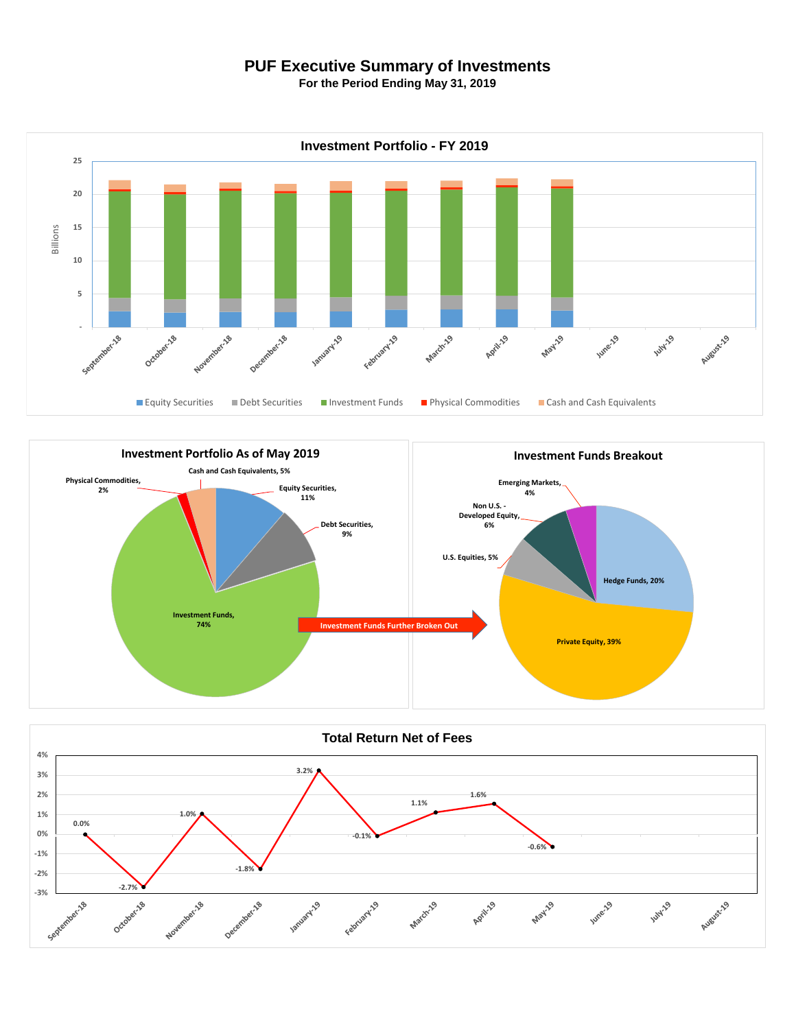## **PUF Executive Summary of Investments**

**For the Period Ending May 31, 2019**